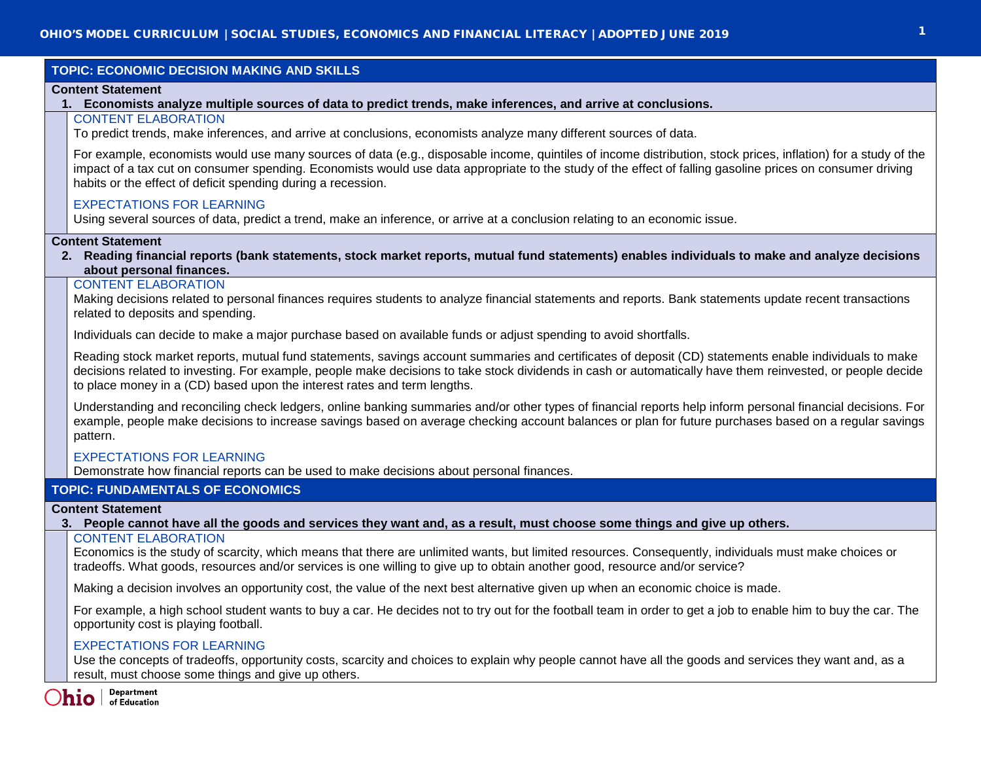| TOPIC: ECONOMIC DECISION MAKING AND SKILLS                                                                                                                                                                                                                                                                                                                                                       |
|--------------------------------------------------------------------------------------------------------------------------------------------------------------------------------------------------------------------------------------------------------------------------------------------------------------------------------------------------------------------------------------------------|
| <b>Content Statement</b><br>1. Economists analyze multiple sources of data to predict trends, make inferences, and arrive at conclusions.                                                                                                                                                                                                                                                        |
| <b>CONTENT ELABORATION</b>                                                                                                                                                                                                                                                                                                                                                                       |
| To predict trends, make inferences, and arrive at conclusions, economists analyze many different sources of data.                                                                                                                                                                                                                                                                                |
| For example, economists would use many sources of data (e.g., disposable income, quintiles of income distribution, stock prices, inflation) for a study of the<br>impact of a tax cut on consumer spending. Economists would use data appropriate to the study of the effect of falling gasoline prices on consumer driving<br>habits or the effect of deficit spending during a recession.      |
| <b>EXPECTATIONS FOR LEARNING</b>                                                                                                                                                                                                                                                                                                                                                                 |
| Using several sources of data, predict a trend, make an inference, or arrive at a conclusion relating to an economic issue.                                                                                                                                                                                                                                                                      |
| <b>Content Statement</b><br>2. Reading financial reports (bank statements, stock market reports, mutual fund statements) enables individuals to make and analyze decisions<br>about personal finances.                                                                                                                                                                                           |
| <b>CONTENT ELABORATION</b><br>Making decisions related to personal finances requires students to analyze financial statements and reports. Bank statements update recent transactions<br>related to deposits and spending.                                                                                                                                                                       |
| Individuals can decide to make a major purchase based on available funds or adjust spending to avoid shortfalls.                                                                                                                                                                                                                                                                                 |
| Reading stock market reports, mutual fund statements, savings account summaries and certificates of deposit (CD) statements enable individuals to make<br>decisions related to investing. For example, people make decisions to take stock dividends in cash or automatically have them reinvested, or people decide<br>to place money in a (CD) based upon the interest rates and term lengths. |
| Understanding and reconciling check ledgers, online banking summaries and/or other types of financial reports help inform personal financial decisions. For<br>example, people make decisions to increase savings based on average checking account balances or plan for future purchases based on a regular savings<br>pattern.                                                                 |
| <b>EXPECTATIONS FOR LEARNING</b><br>Demonstrate how financial reports can be used to make decisions about personal finances.                                                                                                                                                                                                                                                                     |
| <b>TOPIC: FUNDAMENTALS OF ECONOMICS</b>                                                                                                                                                                                                                                                                                                                                                          |
| <b>Content Statement</b>                                                                                                                                                                                                                                                                                                                                                                         |
| 3. People cannot have all the goods and services they want and, as a result, must choose some things and give up others.                                                                                                                                                                                                                                                                         |
| <b>CONTENT ELABORATION</b><br>Economics is the study of scarcity, which means that there are unlimited wants, but limited resources. Consequently, individuals must make choices or<br>tradeoffs. What goods, resources and/or services is one willing to give up to obtain another good, resource and/or service?                                                                               |
| Making a decision involves an opportunity cost, the value of the next best alternative given up when an economic choice is made.                                                                                                                                                                                                                                                                 |
| For example, a high school student wants to buy a car. He decides not to try out for the football team in order to get a job to enable him to buy the car. The<br>opportunity cost is playing football.                                                                                                                                                                                          |
| <b>EXPECTATIONS FOR LEARNING</b><br>Use the concepts of tradeoffs, opportunity costs, scarcity and choices to explain why people cannot have all the goods and services they want and, as a<br>result, must choose some things and give up others.<br>$\sim$ $\sim$ $\sim$ $\sim$                                                                                                                |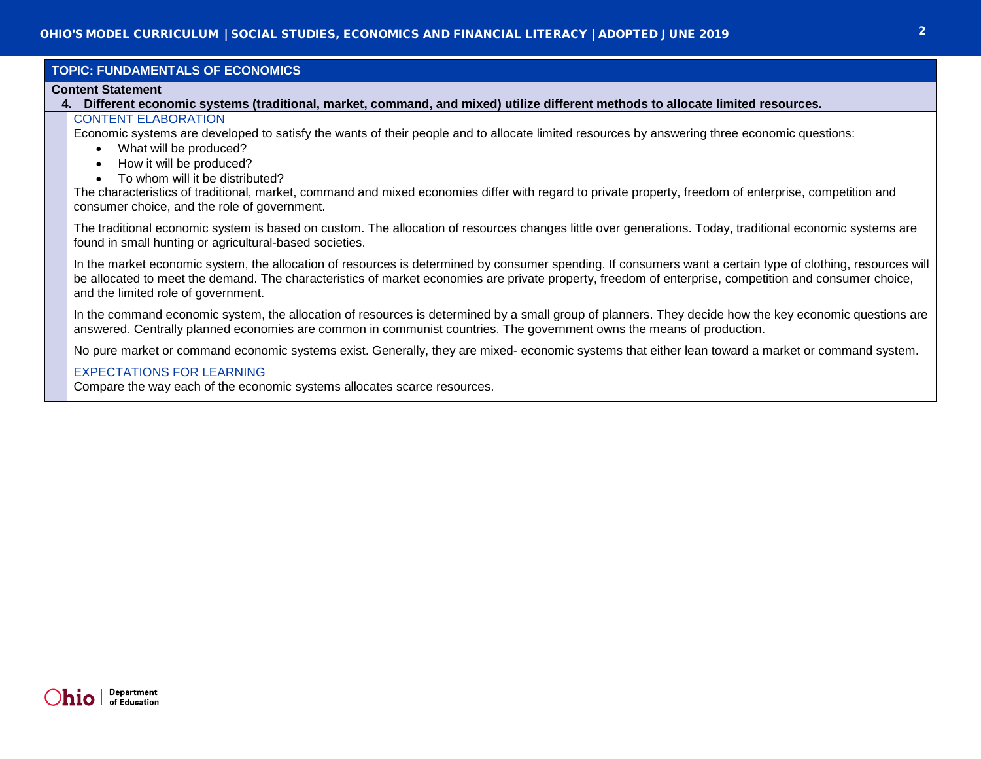## **TOPIC: FUNDAMENTALS OF ECONOMICS**

### **Content Statement**

**4. Different economic systems (traditional, market, command, and mixed) utilize different methods to allocate limited resources.**

# CONTENT ELABORATION

Economic systems are developed to satisfy the wants of their people and to allocate limited resources by answering three economic questions:

- What will be produced?
- How it will be produced?
- To whom will it be distributed?

The characteristics of traditional, market, command and mixed economies differ with regard to private property, freedom of enterprise, competition and consumer choice, and the role of government.

The traditional economic system is based on custom. The allocation of resources changes little over generations. Today, traditional economic systems are found in small hunting or agricultural-based societies.

In the market economic system, the allocation of resources is determined by consumer spending. If consumers want a certain type of clothing, resources will be allocated to meet the demand. The characteristics of market economies are private property, freedom of enterprise, competition and consumer choice, and the limited role of government.

In the command economic system, the allocation of resources is determined by a small group of planners. They decide how the key economic questions are answered. Centrally planned economies are common in communist countries. The government owns the means of production.

No pure market or command economic systems exist. Generally, they are mixed- economic systems that either lean toward a market or command system.

## EXPECTATIONS FOR LEARNING

Compare the way each of the economic systems allocates scarce resources.

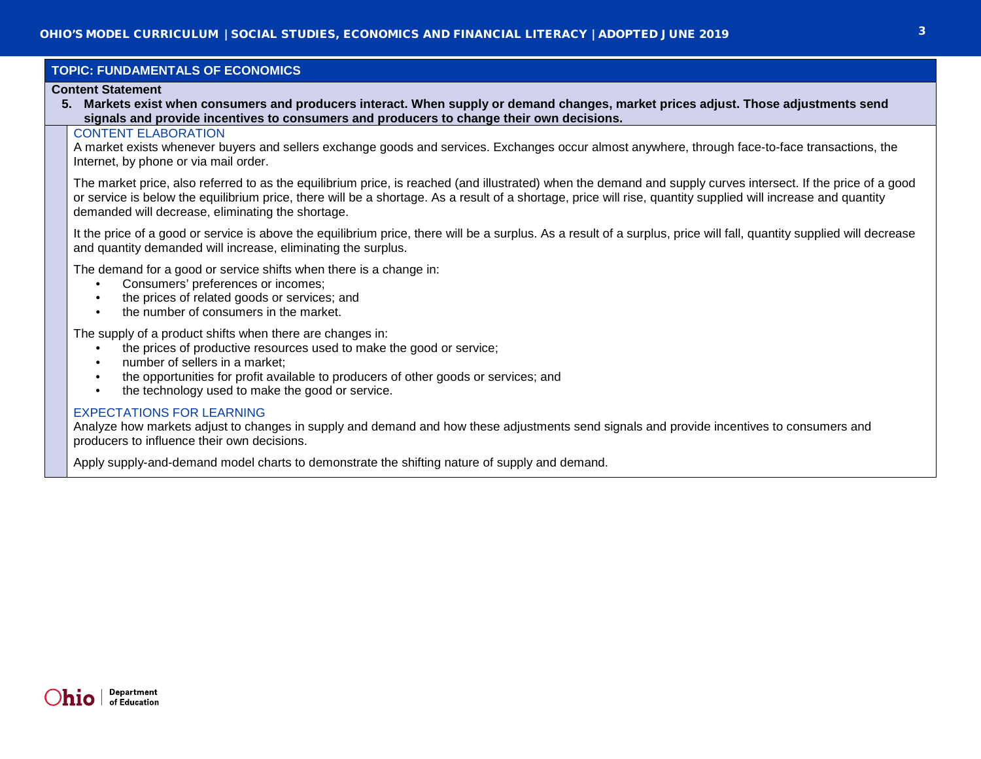## **TOPIC: FUNDAMENTALS OF ECONOMICS**

#### **Content Statement**

**5. Markets exist when consumers and producers interact. When supply or demand changes, market prices adjust. Those adjustments send signals and provide incentives to consumers and producers to change their own decisions.**

### CONTENT ELABORATION

A market exists whenever buyers and sellers exchange goods and services. Exchanges occur almost anywhere, through face-to-face transactions, the Internet, by phone or via mail order.

The market price, also referred to as the equilibrium price, is reached (and illustrated) when the demand and supply curves intersect. If the price of a good or service is below the equilibrium price, there will be a shortage. As a result of a shortage, price will rise, quantity supplied will increase and quantity demanded will decrease, eliminating the shortage.

It the price of a good or service is above the equilibrium price, there will be a surplus. As a result of a surplus, price will fall, quantity supplied will decrease and quantity demanded will increase, eliminating the surplus.

The demand for a good or service shifts when there is a change in:

- Consumers' preferences or incomes;
- the prices of related goods or services; and
- the number of consumers in the market.

The supply of a product shifts when there are changes in:

- the prices of productive resources used to make the good or service;
- number of sellers in a market;
- the opportunities for profit available to producers of other goods or services; and
- the technology used to make the good or service.

## EXPECTATIONS FOR LEARNING

Analyze how markets adjust to changes in supply and demand and how these adjustments send signals and provide incentives to consumers and producers to influence their own decisions.

Apply supply-and-demand model charts to demonstrate the shifting nature of supply and demand.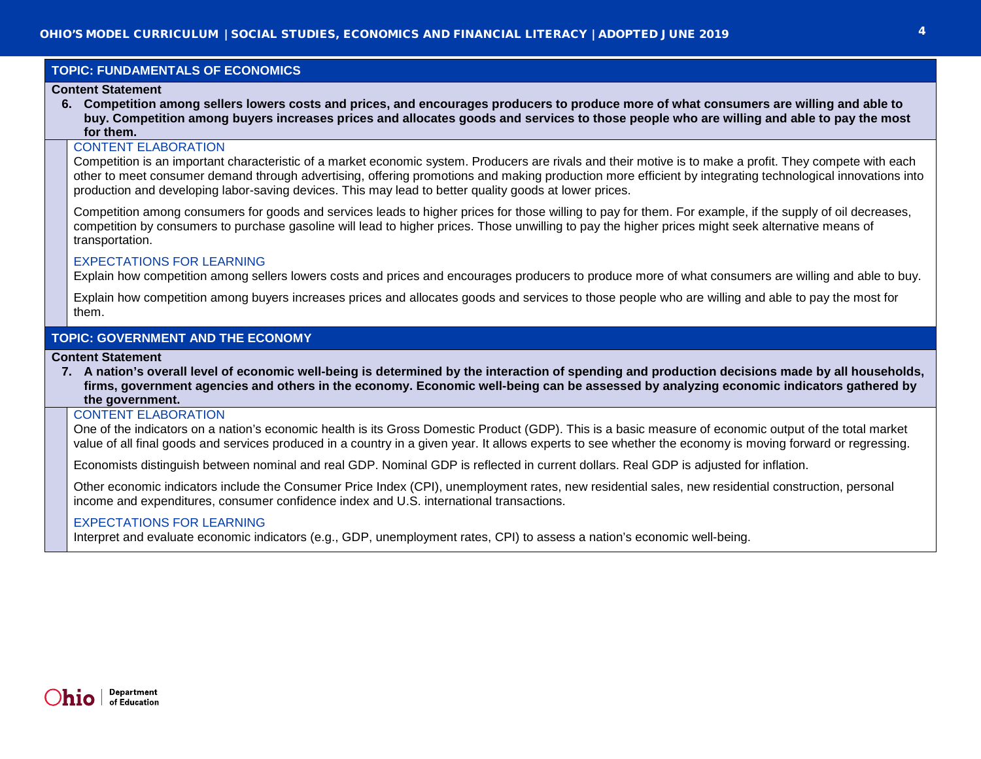## **TOPIC: FUNDAMENTALS OF ECONOMICS**

### **Content Statement**

**6. Competition among sellers lowers costs and prices, and encourages producers to produce more of what consumers are willing and able to buy. Competition among buyers increases prices and allocates goods and services to those people who are willing and able to pay the most for them.**

# CONTENT ELABORATION

Competition is an important characteristic of a market economic system. Producers are rivals and their motive is to make a profit. They compete with each other to meet consumer demand through advertising, offering promotions and making production more efficient by integrating technological innovations into production and developing labor-saving devices. This may lead to better quality goods at lower prices.

Competition among consumers for goods and services leads to higher prices for those willing to pay for them. For example, if the supply of oil decreases, competition by consumers to purchase gasoline will lead to higher prices. Those unwilling to pay the higher prices might seek alternative means of transportation.

### EXPECTATIONS FOR LEARNING

Explain how competition among sellers lowers costs and prices and encourages producers to produce more of what consumers are willing and able to buy.

Explain how competition among buyers increases prices and allocates goods and services to those people who are willing and able to pay the most for them.

## **TOPIC: GOVERNMENT AND THE ECONOMY**

#### **Content Statement**

**7. A nation's overall level of economic well-being is determined by the interaction of spending and production decisions made by all households, firms, government agencies and others in the economy. Economic well-being can be assessed by analyzing economic indicators gathered by the government.**

### CONTENT ELABORATION

One of the indicators on a nation's economic health is its Gross Domestic Product (GDP). This is a basic measure of economic output of the total market value of all final goods and services produced in a country in a given year. It allows experts to see whether the economy is moving forward or regressing.

Economists distinguish between nominal and real GDP. Nominal GDP is reflected in current dollars. Real GDP is adjusted for inflation.

Other economic indicators include the Consumer Price Index (CPI), unemployment rates, new residential sales, new residential construction, personal income and expenditures, consumer confidence index and U.S. international transactions.

### EXPECTATIONS FOR LEARNING

Interpret and evaluate economic indicators (e.g., GDP, unemployment rates, CPI) to assess a nation's economic well-being.

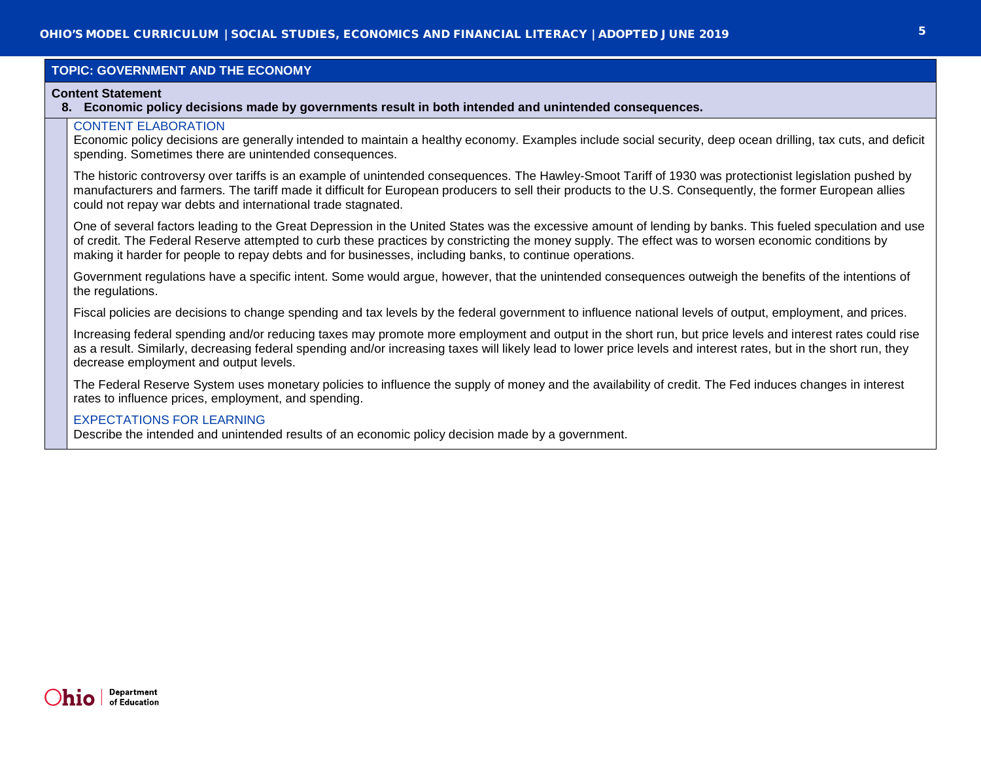## **TOPIC: GOVERNMENT AND THE ECONOMY**

#### **Content Statement**

### **8. Economic policy decisions made by governments result in both intended and unintended consequences.**

## CONTENT ELABORATION

Economic policy decisions are generally intended to maintain a healthy economy. Examples include social security, deep ocean drilling, tax cuts, and deficit spending. Sometimes there are unintended consequences.

The historic controversy over tariffs is an example of unintended consequences. The Hawley-Smoot Tariff of 1930 was protectionist legislation pushed by manufacturers and farmers. The tariff made it difficult for European producers to sell their products to the U.S. Consequently, the former European allies could not repay war debts and international trade stagnated.

One of several factors leading to the Great Depression in the United States was the excessive amount of lending by banks. This fueled speculation and use of credit. The Federal Reserve attempted to curb these practices by constricting the money supply. The effect was to worsen economic conditions by making it harder for people to repay debts and for businesses, including banks, to continue operations.

Government regulations have a specific intent. Some would argue, however, that the unintended consequences outweigh the benefits of the intentions of the regulations.

Fiscal policies are decisions to change spending and tax levels by the federal government to influence national levels of output, employment, and prices.

Increasing federal spending and/or reducing taxes may promote more employment and output in the short run, but price levels and interest rates could rise as a result. Similarly, decreasing federal spending and/or increasing taxes will likely lead to lower price levels and interest rates, but in the short run, they decrease employment and output levels.

The Federal Reserve System uses monetary policies to influence the supply of money and the availability of credit. The Fed induces changes in interest rates to influence prices, employment, and spending.

## EXPECTATIONS FOR LEARNING

Describe the intended and unintended results of an economic policy decision made by a government.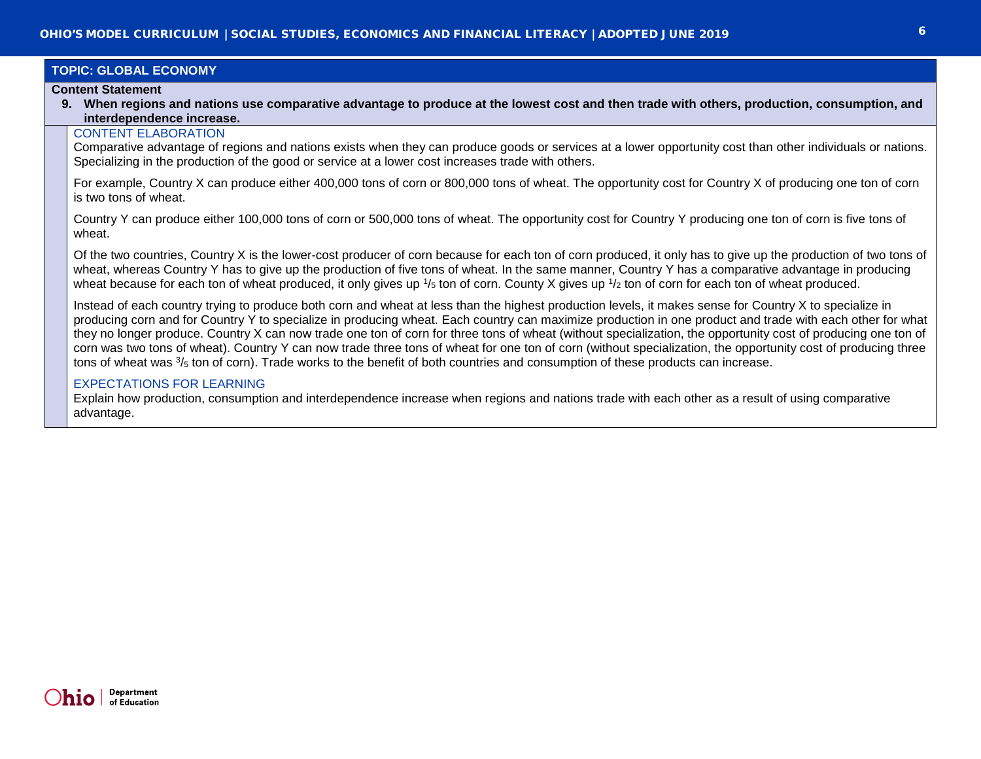## **TOPIC: GLOBAL ECONOMY**

### **Content Statement**

**9. When regions and nations use comparative advantage to produce at the lowest cost and then trade with others, production, consumption, and interdependence increase.**

# CONTENT ELABORATION

Comparative advantage of regions and nations exists when they can produce goods or services at a lower opportunity cost than other individuals or nations. Specializing in the production of the good or service at a lower cost increases trade with others.

For example, Country X can produce either 400,000 tons of corn or 800,000 tons of wheat. The opportunity cost for Country X of producing one ton of corn is two tons of wheat.

Country Y can produce either 100,000 tons of corn or 500,000 tons of wheat. The opportunity cost for Country Y producing one ton of corn is five tons of wheat.

Of the two countries, Country X is the lower-cost producer of corn because for each ton of corn produced, it only has to give up the production of two tons of wheat, whereas Country Y has to give up the production of five tons of wheat. In the same manner, Country Y has a comparative advantage in producing wheat because for each ton of wheat produced, it only gives up  $1/5$  ton of corn. County X gives up  $1/2$  ton of corn for each ton of wheat produced.

Instead of each country trying to produce both corn and wheat at less than the highest production levels, it makes sense for Country X to specialize in producing corn and for Country Y to specialize in producing wheat. Each country can maximize production in one product and trade with each other for what they no longer produce. Country X can now trade one ton of corn for three tons of wheat (without specialization, the opportunity cost of producing one ton of corn was two tons of wheat). Country Y can now trade three tons of wheat for one ton of corn (without specialization, the opportunity cost of producing three tons of wheat was  $\frac{3}{5}$  ton of corn). Trade works to the benefit of both countries and consumption of these products can increase.

### EXPECTATIONS FOR LEARNING

Explain how production, consumption and interdependence increase when regions and nations trade with each other as a result of using comparative advantage.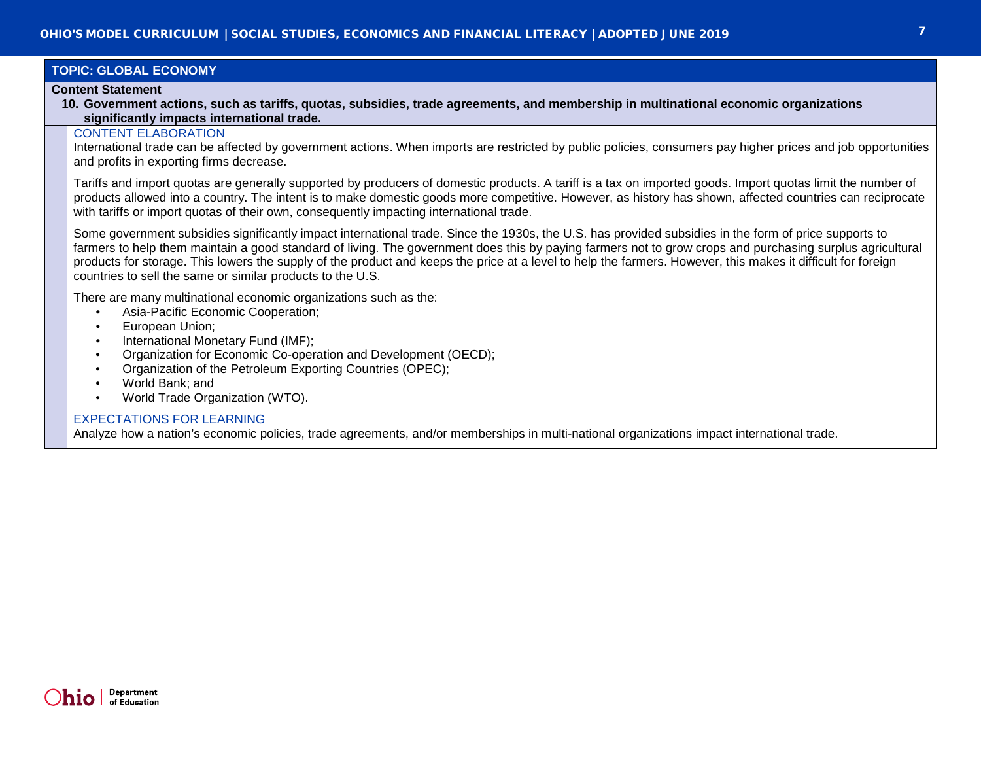# **TOPIC: GLOBAL ECONOMY**

#### **Content Statement**

**10. Government actions, such as tariffs, quotas, subsidies, trade agreements, and membership in multinational economic organizations significantly impacts international trade.**

### CONTENT ELABORATION

International trade can be affected by government actions. When imports are restricted by public policies, consumers pay higher prices and job opportunities and profits in exporting firms decrease.

Tariffs and import quotas are generally supported by producers of domestic products. A tariff is a tax on imported goods. Import quotas limit the number of products allowed into a country. The intent is to make domestic goods more competitive. However, as history has shown, affected countries can reciprocate with tariffs or import quotas of their own, consequently impacting international trade.

Some government subsidies significantly impact international trade. Since the 1930s, the U.S. has provided subsidies in the form of price supports to farmers to help them maintain a good standard of living. The government does this by paying farmers not to grow crops and purchasing surplus agricultural products for storage. This lowers the supply of the product and keeps the price at a level to help the farmers. However, this makes it difficult for foreign countries to sell the same or similar products to the U.S.

There are many multinational economic organizations such as the:

- Asia-Pacific Economic Cooperation;
- European Union;
- International Monetary Fund (IMF):
- Organization for Economic Co-operation and Development (OECD);
- Organization of the Petroleum Exporting Countries (OPEC);
- World Bank; and
- World Trade Organization (WTO).

## EXPECTATIONS FOR LEARNING

Analyze how a nation's economic policies, trade agreements, and/or memberships in multi-national organizations impact international trade.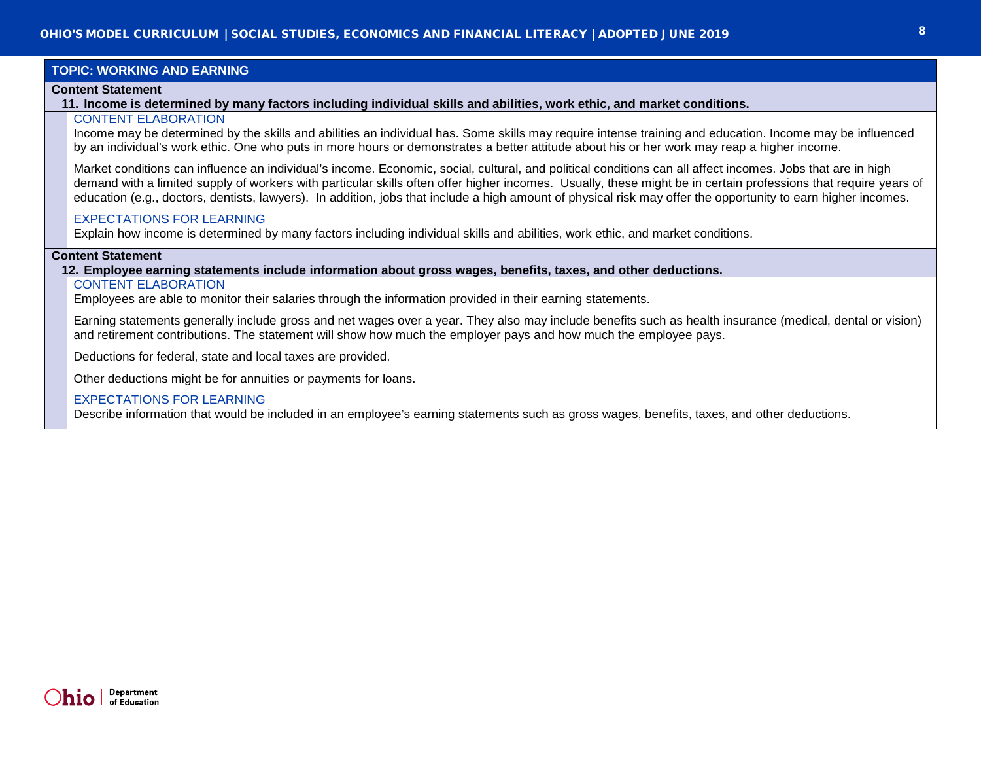## **TOPIC: WORKING AND EARNING**

#### **Content Statement**

**11. Income is determined by many factors including individual skills and abilities, work ethic, and market conditions.**

## CONTENT ELABORATION

Income may be determined by the skills and abilities an individual has. Some skills may require intense training and education. Income may be influenced by an individual's work ethic. One who puts in more hours or demonstrates a better attitude about his or her work may reap a higher income.

Market conditions can influence an individual's income. Economic, social, cultural, and political conditions can all affect incomes. Jobs that are in high demand with a limited supply of workers with particular skills often offer higher incomes. Usually, these might be in certain professions that require years of education (e.g., doctors, dentists, lawyers). In addition, jobs that include a high amount of physical risk may offer the opportunity to earn higher incomes.

## EXPECTATIONS FOR LEARNING

Explain how income is determined by many factors including individual skills and abilities, work ethic, and market conditions.

### **Content Statement**

**12. Employee earning statements include information about gross wages, benefits, taxes, and other deductions.**

## CONTENT ELABORATION

Employees are able to monitor their salaries through the information provided in their earning statements.

Earning statements generally include gross and net wages over a year. They also may include benefits such as health insurance (medical, dental or vision) and retirement contributions. The statement will show how much the employer pays and how much the employee pays.

Deductions for federal, state and local taxes are provided.

Other deductions might be for annuities or payments for loans.

### EXPECTATIONS FOR LEARNING

Describe information that would be included in an employee's earning statements such as gross wages, benefits, taxes, and other deductions.

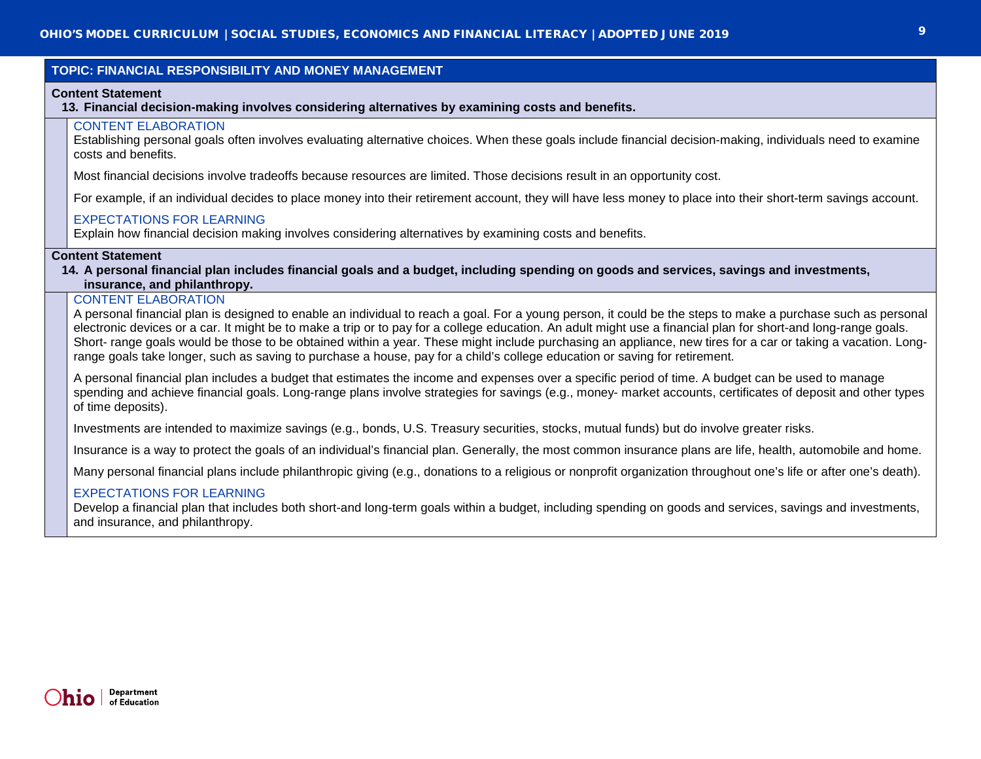### **TOPIC: FINANCIAL RESPONSIBILITY AND MONEY MANAGEMENT**

#### **Content Statement**

**13. Financial decision-making involves considering alternatives by examining costs and benefits.**

## CONTENT ELABORATION

Establishing personal goals often involves evaluating alternative choices. When these goals include financial decision-making, individuals need to examine costs and benefits.

Most financial decisions involve tradeoffs because resources are limited. Those decisions result in an opportunity cost.

For example, if an individual decides to place money into their retirement account, they will have less money to place into their short-term savings account.

### EXPECTATIONS FOR LEARNING

Explain how financial decision making involves considering alternatives by examining costs and benefits.

### **Content Statement**

**14. A personal financial plan includes financial goals and a budget, including spending on goods and services, savings and investments, insurance, and philanthropy.**

## CONTENT ELABORATION

A personal financial plan is designed to enable an individual to reach a goal. For a young person, it could be the steps to make a purchase such as personal electronic devices or a car. It might be to make a trip or to pay for a college education. An adult might use a financial plan for short-and long-range goals. Short- range goals would be those to be obtained within a year. These might include purchasing an appliance, new tires for a car or taking a vacation. Longrange goals take longer, such as saving to purchase a house, pay for a child's college education or saving for retirement.

A personal financial plan includes a budget that estimates the income and expenses over a specific period of time. A budget can be used to manage spending and achieve financial goals. Long-range plans involve strategies for savings (e.g., money- market accounts, certificates of deposit and other types of time deposits).

Investments are intended to maximize savings (e.g., bonds, U.S. Treasury securities, stocks, mutual funds) but do involve greater risks.

Insurance is a way to protect the goals of an individual's financial plan. Generally, the most common insurance plans are life, health, automobile and home.

Many personal financial plans include philanthropic giving (e.g., donations to a religious or nonprofit organization throughout one's life or after one's death).

### EXPECTATIONS FOR LEARNING

Develop a financial plan that includes both short-and long-term goals within a budget, including spending on goods and services, savings and investments, and insurance, and philanthropy.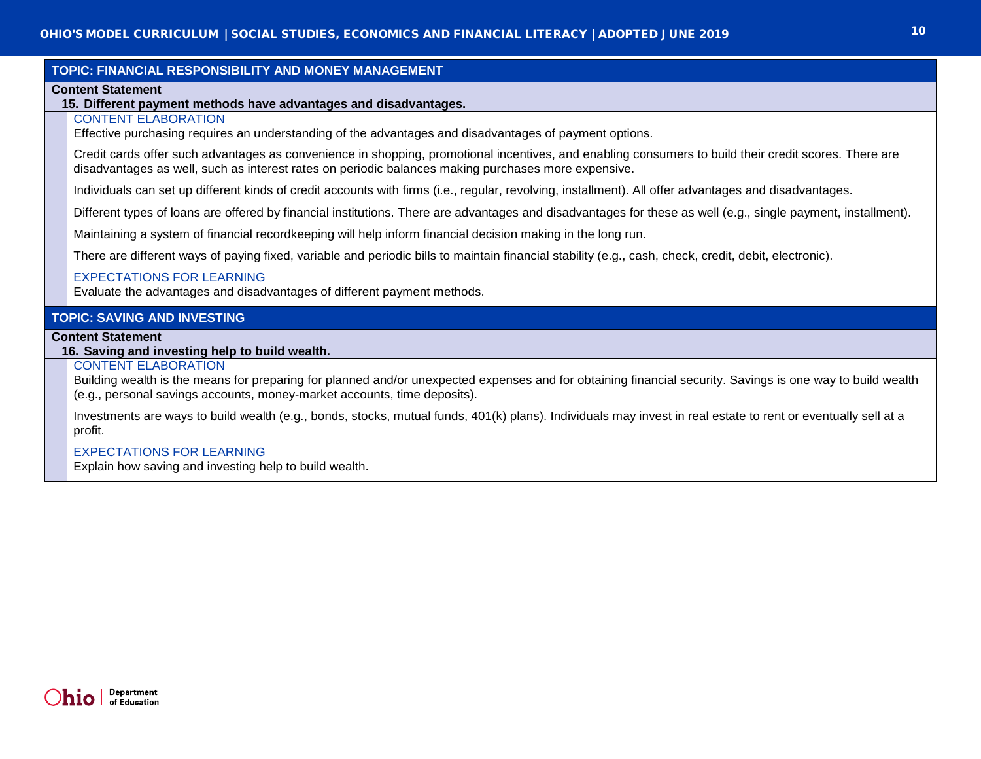## **TOPIC: FINANCIAL RESPONSIBILITY AND MONEY MANAGEMENT**

### **Content Statement**

## **15. Different payment methods have advantages and disadvantages.**

# CONTENT ELABORATION

Effective purchasing requires an understanding of the advantages and disadvantages of payment options.

Credit cards offer such advantages as convenience in shopping, promotional incentives, and enabling consumers to build their credit scores. There are disadvantages as well, such as interest rates on periodic balances making purchases more expensive.

Individuals can set up different kinds of credit accounts with firms (i.e., regular, revolving, installment). All offer advantages and disadvantages.

Different types of loans are offered by financial institutions. There are advantages and disadvantages for these as well (e.g., single payment, installment).

Maintaining a system of financial recordkeeping will help inform financial decision making in the long run.

There are different ways of paying fixed, variable and periodic bills to maintain financial stability (e.g., cash, check, credit, debit, electronic).

## EXPECTATIONS FOR LEARNING

Evaluate the advantages and disadvantages of different payment methods.

## **TOPIC: SAVING AND INVESTING**

#### **Content Statement**

**16. Saving and investing help to build wealth.**

# CONTENT ELABORATION

Building wealth is the means for preparing for planned and/or unexpected expenses and for obtaining financial security. Savings is one way to build wealth (e.g., personal savings accounts, money-market accounts, time deposits).

Investments are ways to build wealth (e.g., bonds, stocks, mutual funds, 401(k) plans). Individuals may invest in real estate to rent or eventually sell at a profit.

## EXPECTATIONS FOR LEARNING

Explain how saving and investing help to build wealth.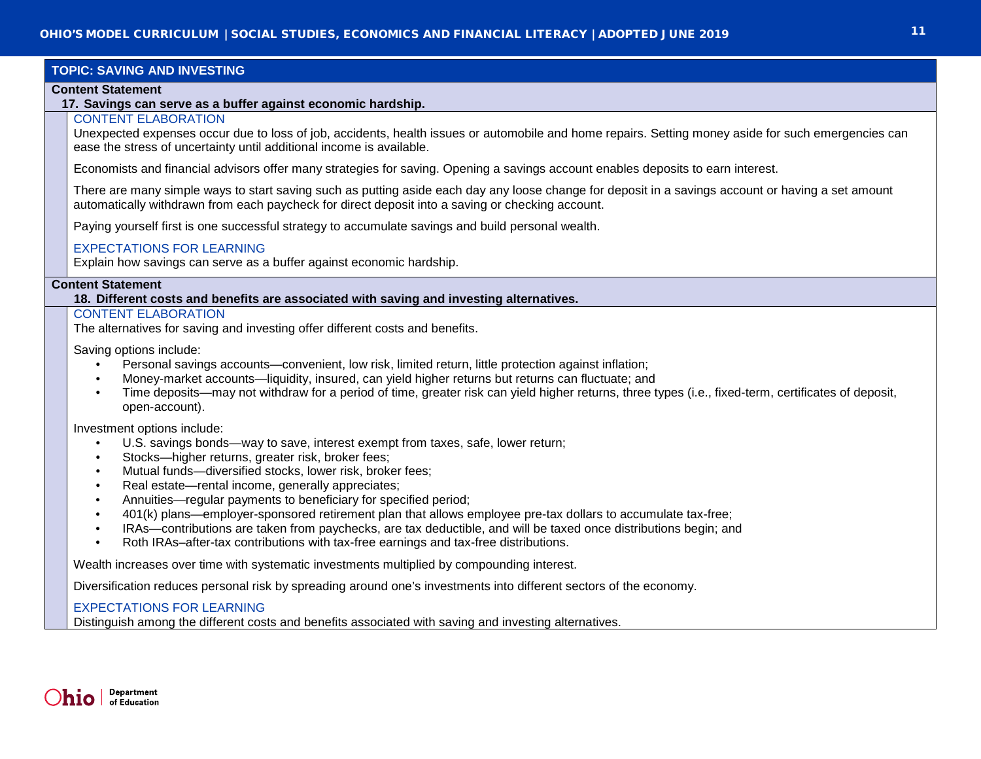## **TOPIC: SAVING AND INVESTING**

### **Content Statement**

### **17. Savings can serve as a buffer against economic hardship.**

### CONTENT ELABORATION

Unexpected expenses occur due to loss of job, accidents, health issues or automobile and home repairs. Setting money aside for such emergencies can ease the stress of uncertainty until additional income is available.

Economists and financial advisors offer many strategies for saving. Opening a savings account enables deposits to earn interest.

There are many simple ways to start saving such as putting aside each day any loose change for deposit in a savings account or having a set amount automatically withdrawn from each paycheck for direct deposit into a saving or checking account.

Paying yourself first is one successful strategy to accumulate savings and build personal wealth.

## EXPECTATIONS FOR LEARNING

Explain how savings can serve as a buffer against economic hardship.

## **Content Statement**

**18. Different costs and benefits are associated with saving and investing alternatives.**

# CONTENT ELABORATION

The alternatives for saving and investing offer different costs and benefits.

Saving options include:

- Personal savings accounts—convenient, low risk, limited return, little protection against inflation;
- Money-market accounts—liquidity, insured, can yield higher returns but returns can fluctuate; and
- Time deposits—may not withdraw for a period of time, greater risk can yield higher returns, three types (i.e., fixed-term, certificates of deposit, open-account).

### Investment options include:

- U.S. savings bonds—way to save, interest exempt from taxes, safe, lower return;
- Stocks-higher returns, greater risk, broker fees;
- Mutual funds—diversified stocks, lower risk, broker fees;
- Real estate—rental income, generally appreciates;
- Annuities—regular payments to beneficiary for specified period;
- 401(k) plans—employer-sponsored retirement plan that allows employee pre-tax dollars to accumulate tax-free;
- IRAs—contributions are taken from paychecks, are tax deductible, and will be taxed once distributions begin; and
- Roth IRAs–after-tax contributions with tax-free earnings and tax-free distributions.

Wealth increases over time with systematic investments multiplied by compounding interest.

Diversification reduces personal risk by spreading around one's investments into different sectors of the economy.

## EXPECTATIONS FOR LEARNING

Distinguish among the different costs and benefits associated with saving and investing alternatives.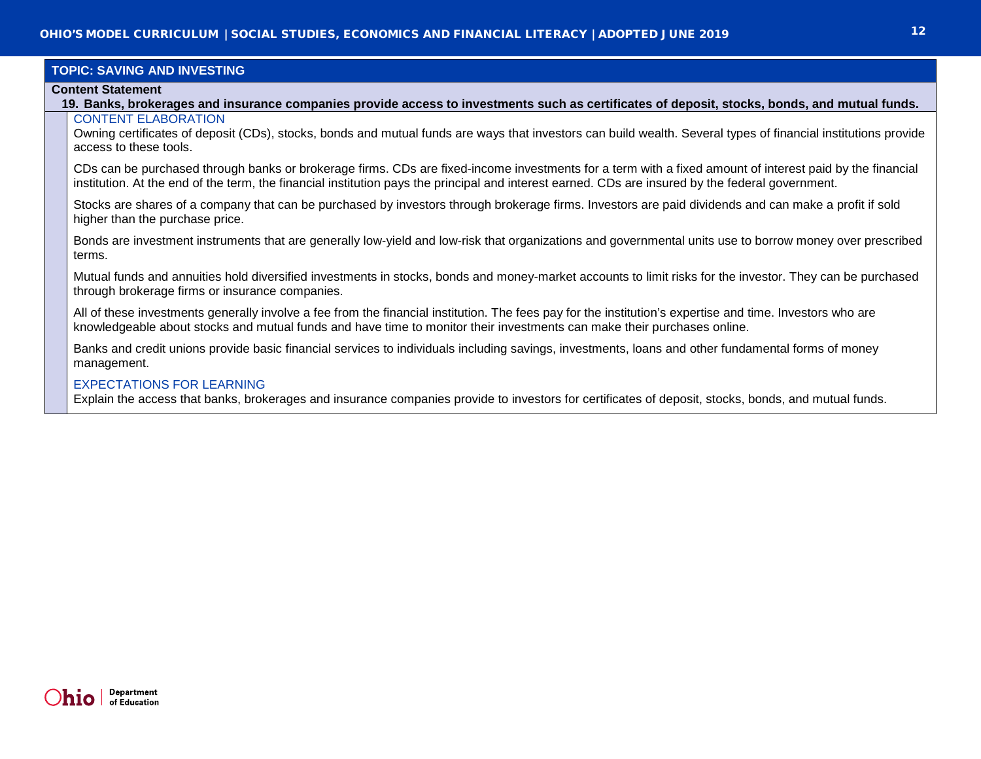## **TOPIC: SAVING AND INVESTING**

### **Content Statement**

**19. Banks, brokerages and insurance companies provide access to investments such as certificates of deposit, stocks, bonds, and mutual funds.** CONTENT ELABORATION

Owning certificates of deposit (CDs), stocks, bonds and mutual funds are ways that investors can build wealth. Several types of financial institutions provide access to these tools.

CDs can be purchased through banks or brokerage firms. CDs are fixed-income investments for a term with a fixed amount of interest paid by the financial institution. At the end of the term, the financial institution pays the principal and interest earned. CDs are insured by the federal government.

Stocks are shares of a company that can be purchased by investors through brokerage firms. Investors are paid dividends and can make a profit if sold higher than the purchase price.

Bonds are investment instruments that are generally low-yield and low-risk that organizations and governmental units use to borrow money over prescribed terms.

Mutual funds and annuities hold diversified investments in stocks, bonds and money-market accounts to limit risks for the investor. They can be purchased through brokerage firms or insurance companies.

All of these investments generally involve a fee from the financial institution. The fees pay for the institution's expertise and time. Investors who are knowledgeable about stocks and mutual funds and have time to monitor their investments can make their purchases online.

Banks and credit unions provide basic financial services to individuals including savings, investments, loans and other fundamental forms of money management.

## EXPECTATIONS FOR LEARNING

Explain the access that banks, brokerages and insurance companies provide to investors for certificates of deposit, stocks, bonds, and mutual funds.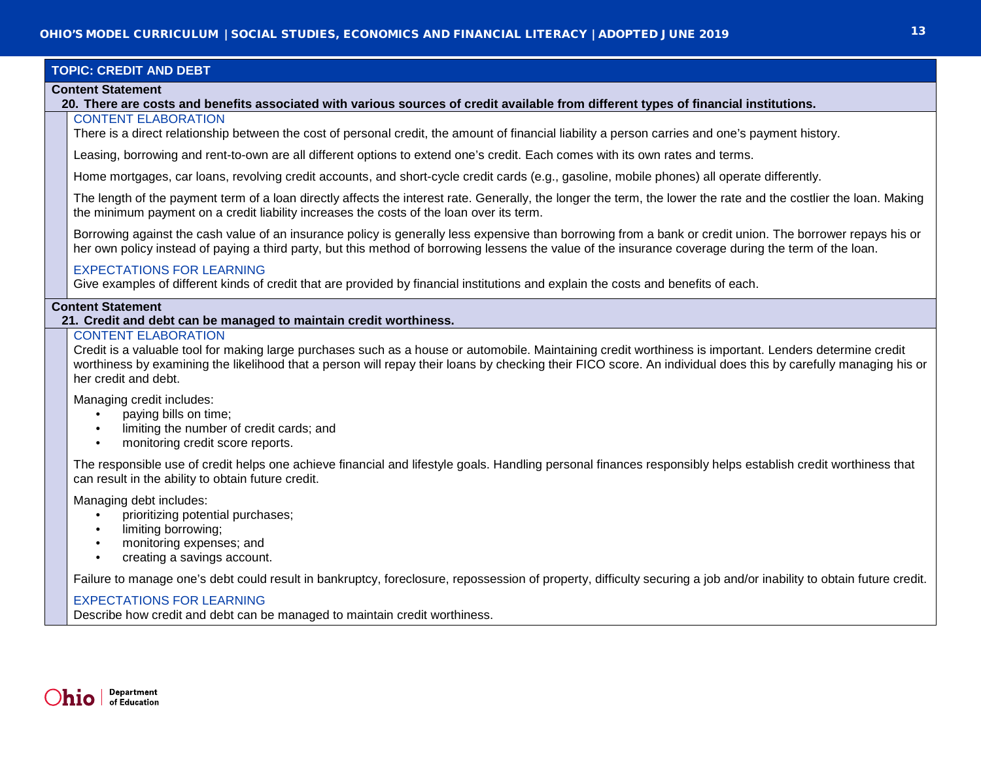## **TOPIC: CREDIT AND DEBT**

### **Content Statement**

### **20. There are costs and benefits associated with various sources of credit available from different types of financial institutions.**

## CONTENT ELABORATION

There is a direct relationship between the cost of personal credit, the amount of financial liability a person carries and one's payment history.

Leasing, borrowing and rent-to-own are all different options to extend one's credit. Each comes with its own rates and terms.

Home mortgages, car loans, revolving credit accounts, and short-cycle credit cards (e.g., gasoline, mobile phones) all operate differently.

The length of the payment term of a loan directly affects the interest rate. Generally, the longer the term, the lower the rate and the costlier the loan. Making the minimum payment on a credit liability increases the costs of the loan over its term.

Borrowing against the cash value of an insurance policy is generally less expensive than borrowing from a bank or credit union. The borrower repays his or her own policy instead of paying a third party, but this method of borrowing lessens the value of the insurance coverage during the term of the loan.

### EXPECTATIONS FOR LEARNING

Give examples of different kinds of credit that are provided by financial institutions and explain the costs and benefits of each.

#### **Content Statement**

#### **21. Credit and debt can be managed to maintain credit worthiness.**

## CONTENT ELABORATION

Credit is a valuable tool for making large purchases such as a house or automobile. Maintaining credit worthiness is important. Lenders determine credit worthiness by examining the likelihood that a person will repay their loans by checking their FICO score. An individual does this by carefully managing his or her credit and debt.

Managing credit includes:

- paying bills on time;
- limiting the number of credit cards; and
- monitoring credit score reports.

The responsible use of credit helps one achieve financial and lifestyle goals. Handling personal finances responsibly helps establish credit worthiness that can result in the ability to obtain future credit.

Managing debt includes:

- prioritizing potential purchases;
- limiting borrowing;
- monitoring expenses; and
- creating a savings account.

Failure to manage one's debt could result in bankruptcy, foreclosure, repossession of property, difficulty securing a job and/or inability to obtain future credit.

### EXPECTATIONS FOR LEARNING

Describe how credit and debt can be managed to maintain credit worthiness.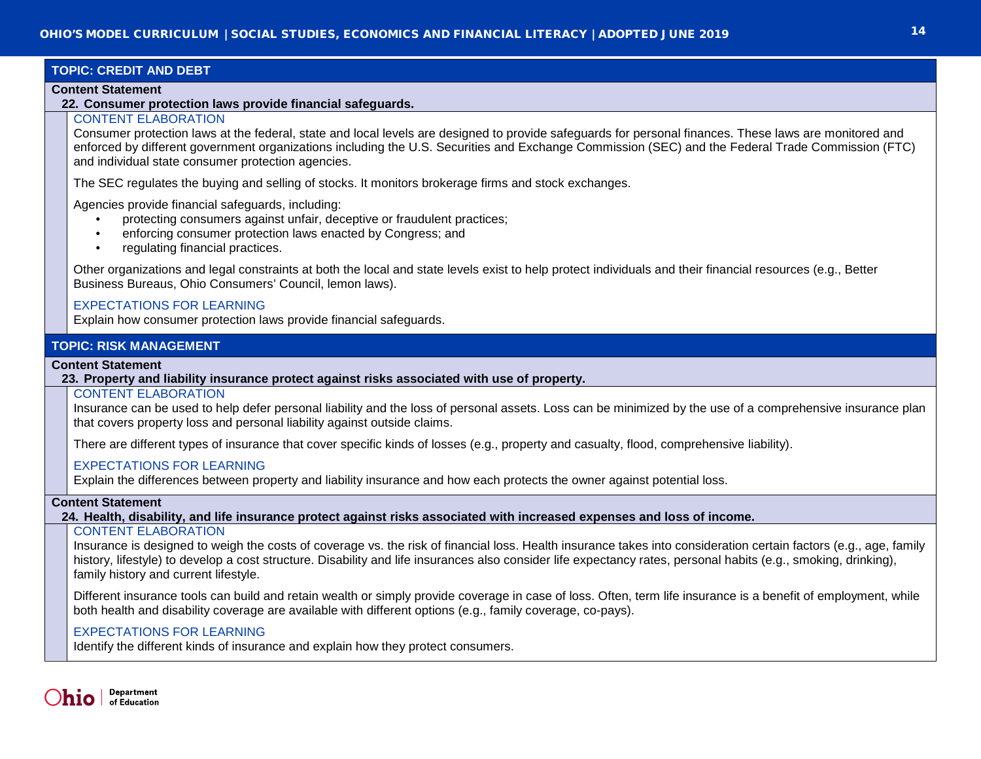## **TOPIC: CREDIT AND DEBT**

### **Content Statement**

### **22. Consumer protection laws provide financial safeguards.**

# CONTENT ELABORATION

Consumer protection laws at the federal, state and local levels are designed to provide safeguards for personal finances. These laws are monitored and enforced by different government organizations including the U.S. Securities and Exchange Commission (SEC) and the Federal Trade Commission (FTC) and individual state consumer protection agencies.

The SEC regulates the buying and selling of stocks. It monitors brokerage firms and stock exchanges.

Agencies provide financial safeguards, including:

- protecting consumers against unfair, deceptive or fraudulent practices;
- enforcing consumer protection laws enacted by Congress; and
- regulating financial practices.

Other organizations and legal constraints at both the local and state levels exist to help protect individuals and their financial resources (e.g., Better Business Bureaus, Ohio Consumers' Council, lemon laws).

## EXPECTATIONS FOR LEARNING

Explain how consumer protection laws provide financial safeguards.

## **TOPIC: RISK MANAGEMENT**

### **Content Statement**

### **23. Property and liability insurance protect against risks associated with use of property.**

## CONTENT ELABORATION

Insurance can be used to help defer personal liability and the loss of personal assets. Loss can be minimized by the use of a comprehensive insurance plan that covers property loss and personal liability against outside claims.

There are different types of insurance that cover specific kinds of losses (e.g., property and casualty, flood, comprehensive liability).

## EXPECTATIONS FOR LEARNING

Explain the differences between property and liability insurance and how each protects the owner against potential loss.

## **Content Statement**

**24. Health, disability, and life insurance protect against risks associated with increased expenses and loss of income.**

## CONTENT ELABORATION

Insurance is designed to weigh the costs of coverage vs. the risk of financial loss. Health insurance takes into consideration certain factors (e.g., age, family history, lifestyle) to develop a cost structure. Disability and life insurances also consider life expectancy rates, personal habits (e.g., smoking, drinking), family history and current lifestyle.

Different insurance tools can build and retain wealth or simply provide coverage in case of loss. Often, term life insurance is a benefit of employment, while both health and disability coverage are available with different options (e.g., family coverage, co-pays).

## EXPECTATIONS FOR LEARNING

Identify the different kinds of insurance and explain how they protect consumers.